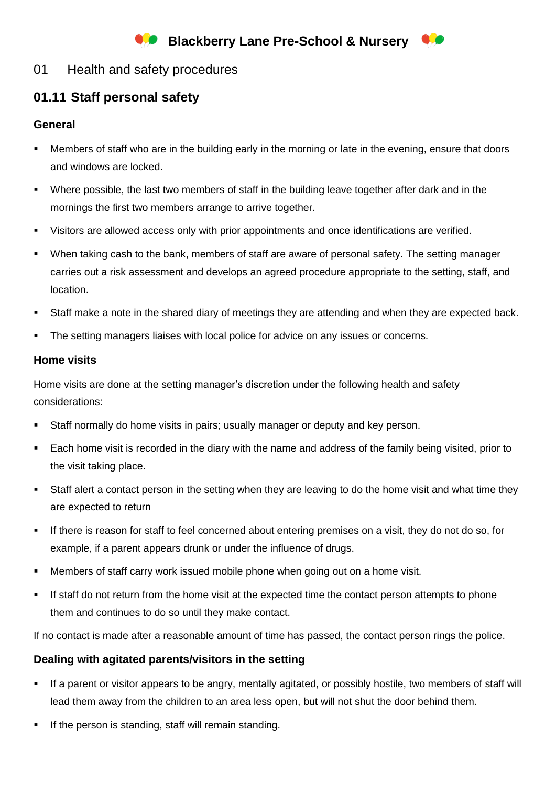# **Blackberry Lane Pre-School & Nursery**



### 01 Health and safety procedures

## **01.11 Staff personal safety**

#### **General**

- Members of staff who are in the building early in the morning or late in the evening, ensure that doors and windows are locked.
- Where possible, the last two members of staff in the building leave together after dark and in the mornings the first two members arrange to arrive together.
- Visitors are allowed access only with prior appointments and once identifications are verified.
- When taking cash to the bank, members of staff are aware of personal safety. The setting manager carries out a risk assessment and develops an agreed procedure appropriate to the setting, staff, and location.
- Staff make a note in the shared diary of meetings they are attending and when they are expected back.
- **•** The setting managers liaises with local police for advice on any issues or concerns.

#### **Home visits**

Home visits are done at the setting manager's discretion under the following health and safety considerations:

- **EXECT:** Staff normally do home visits in pairs; usually manager or deputy and key person.
- Each home visit is recorded in the diary with the name and address of the family being visited, prior to the visit taking place.
- Staff alert a contact person in the setting when they are leaving to do the home visit and what time they are expected to return
- If there is reason for staff to feel concerned about entering premises on a visit, they do not do so, for example, if a parent appears drunk or under the influence of drugs.
- **■** Members of staff carry work issued mobile phone when going out on a home visit.
- If staff do not return from the home visit at the expected time the contact person attempts to phone them and continues to do so until they make contact.

If no contact is made after a reasonable amount of time has passed, the contact person rings the police.

#### **Dealing with agitated parents/visitors in the setting**

- If a parent or visitor appears to be angry, mentally agitated, or possibly hostile, two members of staff will lead them away from the children to an area less open, but will not shut the door behind them.
- If the person is standing, staff will remain standing.